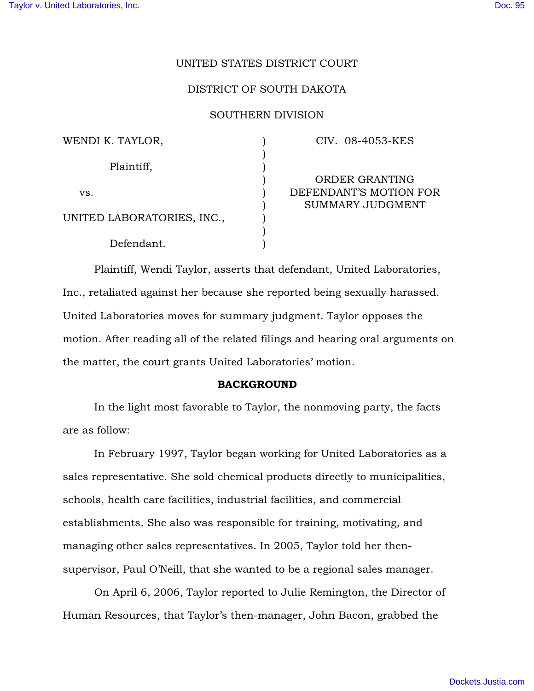# UNITED STATES DISTRICT COURT

## DISTRICT OF SOUTH DAKOTA

# SOUTHERN DIVISION

| WENDI K. TAYLOR,           | CIV. 08-4053-KES       |
|----------------------------|------------------------|
|                            |                        |
| Plaintiff,                 |                        |
|                            | ORDER GRANTING         |
| VS.                        | DEFENDANT'S MOTION FOR |
|                            | SUMMARY JUDGMENT       |
| UNITED LABORATORIES, INC., |                        |
|                            |                        |
| Defendant.                 |                        |

Plaintiff, Wendi Taylor, asserts that defendant, United Laboratories, Inc., retaliated against her because she reported being sexually harassed. United Laboratories moves for summary judgment. Taylor opposes the motion. After reading all of the related filings and hearing oral arguments on the matter, the court grants United Laboratories' motion.

### BACKGROUND

In the light most favorable to Taylor, the nonmoving party, the facts are as follow:

In February 1997, Taylor began working for United Laboratories as a sales representative. She sold chemical products directly to municipalities, schools, health care facilities, industrial facilities, and commercial establishments. She also was responsible for training, motivating, and managing other sales representatives. In 2005, Taylor told her thensupervisor, Paul O'Neill, that she wanted to be a regional sales manager.

On April 6, 2006, Taylor reported to Julie Remington, the Director of Human Resources, that Taylor's then-manager, John Bacon, grabbed the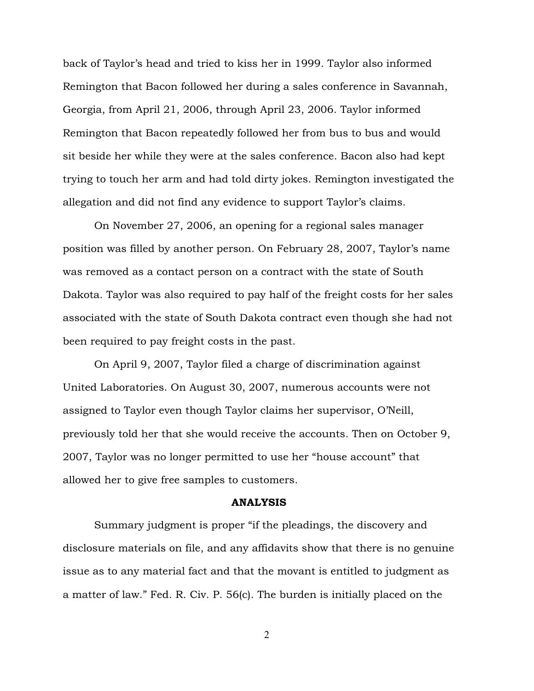back of Taylor's head and tried to kiss her in 1999. Taylor also informed Remington that Bacon followed her during a sales conference in Savannah, Georgia, from April 21, 2006, through April 23, 2006. Taylor informed Remington that Bacon repeatedly followed her from bus to bus and would sit beside her while they were at the sales conference. Bacon also had kept trying to touch her arm and had told dirty jokes. Remington investigated the allegation and did not find any evidence to support Taylor's claims.

On November 27, 2006, an opening for a regional sales manager position was filled by another person. On February 28, 2007, Taylor's name was removed as a contact person on a contract with the state of South Dakota. Taylor was also required to pay half of the freight costs for her sales associated with the state of South Dakota contract even though she had not been required to pay freight costs in the past.

On April 9, 2007, Taylor filed a charge of discrimination against United Laboratories. On August 30, 2007, numerous accounts were not assigned to Taylor even though Taylor claims her supervisor, O'Neill, previously told her that she would receive the accounts. Then on October 9, 2007, Taylor was no longer permitted to use her "house account" that allowed her to give free samples to customers.

#### ANALYSIS

Summary judgment is proper "if the pleadings, the discovery and disclosure materials on file, and any affidavits show that there is no genuine issue as to any material fact and that the movant is entitled to judgment as a matter of law." Fed. R. Civ. P. 56(c). The burden is initially placed on the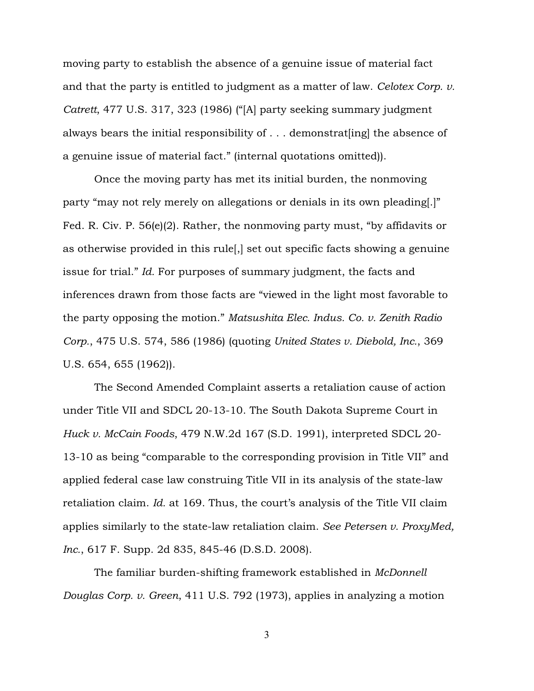moving party to establish the absence of a genuine issue of material fact and that the party is entitled to judgment as a matter of law. *Celotex Corp. v. Catrett*, 477 U.S. 317, 323 (1986) ("[A] party seeking summary judgment always bears the initial responsibility of . . . demonstrat[ing] the absence of a genuine issue of material fact." (internal quotations omitted)).

Once the moving party has met its initial burden, the nonmoving party "may not rely merely on allegations or denials in its own pleading[.]" Fed. R. Civ. P. 56(e)(2). Rather, the nonmoving party must, "by affidavits or as otherwise provided in this rule[,] set out specific facts showing a genuine issue for trial." *Id.* For purposes of summary judgment, the facts and inferences drawn from those facts are "viewed in the light most favorable to the party opposing the motion." *Matsushita Elec. Indus. Co. v. Zenith Radio Corp.*, 475 U.S. 574, 586 (1986) (quoting *United States v. Diebold, Inc.*, 369 U.S. 654, 655 (1962)).

The Second Amended Complaint asserts a retaliation cause of action under Title VII and SDCL 20-13-10. The South Dakota Supreme Court in *Huck v. McCain Foods*, 479 N.W.2d 167 (S.D. 1991), interpreted SDCL 20- 13-10 as being "comparable to the corresponding provision in Title VII" and applied federal case law construing Title VII in its analysis of the state-law retaliation claim. *Id.* at 169. Thus, the court's analysis of the Title VII claim applies similarly to the state-law retaliation claim. *See Petersen v. ProxyMed, Inc.*, 617 F. Supp. 2d 835, 845-46 (D.S.D. 2008).

The familiar burden-shifting framework established in *McDonnell Douglas Corp. v. Green*, 411 U.S. 792 (1973), applies in analyzing a motion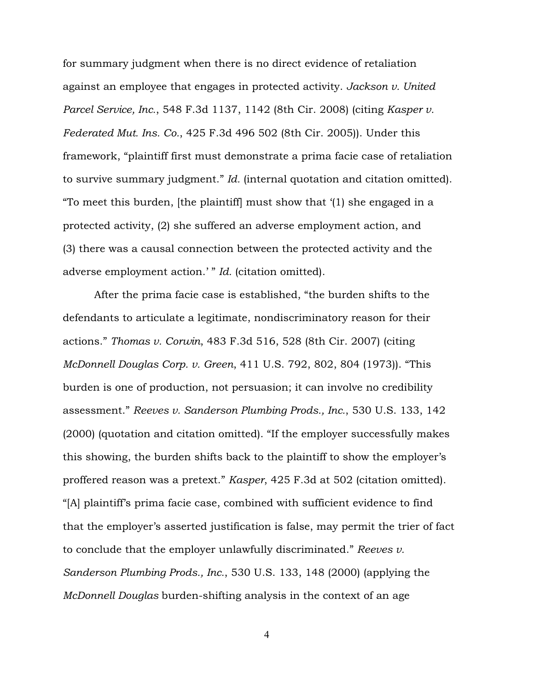for summary judgment when there is no direct evidence of retaliation against an employee that engages in protected activity. *Jackson v. United Parcel Service, Inc.*, 548 F.3d 1137, 1142 (8th Cir. 2008) (citing *Kasper v. Federated Mut. Ins. Co.*, 425 F.3d 496 502 (8th Cir. 2005)). Under this framework, "plaintiff first must demonstrate a prima facie case of retaliation to survive summary judgment." *Id.* (internal quotation and citation omitted). "To meet this burden, [the plaintiff] must show that '(1) she engaged in a protected activity, (2) she suffered an adverse employment action, and (3) there was a causal connection between the protected activity and the adverse employment action.' " *Id.* (citation omitted).

After the prima facie case is established, "the burden shifts to the defendants to articulate a legitimate, nondiscriminatory reason for their actions." *Thomas v. Corwin*, 483 F.3d 516, 528 (8th Cir. 2007) (citing *McDonnell Douglas Corp. v. Green*, 411 U.S. 792, 802, 804 (1973)). "This burden is one of production, not persuasion; it can involve no credibility assessment." *Reeves v. Sanderson Plumbing Prods., Inc.*, 530 U.S. 133, 142 (2000) (quotation and citation omitted). "If the employer successfully makes this showing, the burden shifts back to the plaintiff to show the employer's proffered reason was a pretext." *Kasper*, 425 F.3d at 502 (citation omitted). "[A] plaintiff's prima facie case, combined with sufficient evidence to find that the employer's asserted justification is false, may permit the trier of fact to conclude that the employer unlawfully discriminated." *Reeves v. Sanderson Plumbing Prods., Inc.*, 530 U.S. 133, 148 (2000) (applying the *McDonnell Douglas* burden-shifting analysis in the context of an age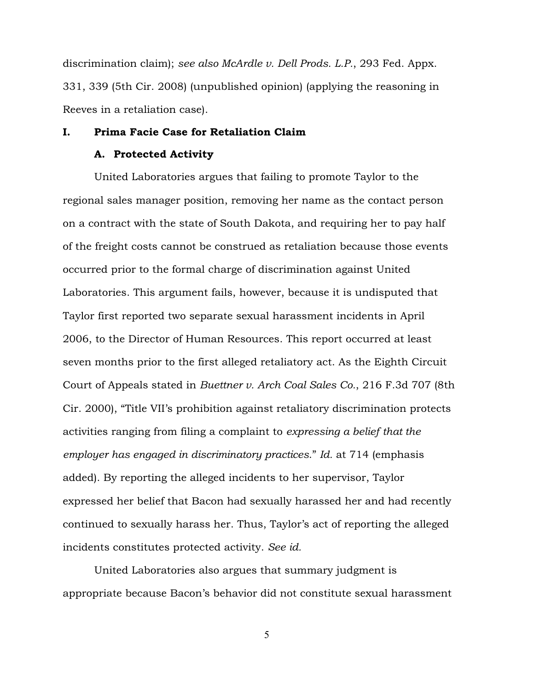discrimination claim); *see also McArdle v. Dell Prods. L.P.*, 293 Fed. Appx. 331, 339 (5th Cir. 2008) (unpublished opinion) (applying the reasoning in Reeves in a retaliation case).

# I. Prima Facie Case for Retaliation Claim

## A. Protected Activity

United Laboratories argues that failing to promote Taylor to the regional sales manager position, removing her name as the contact person on a contract with the state of South Dakota, and requiring her to pay half of the freight costs cannot be construed as retaliation because those events occurred prior to the formal charge of discrimination against United Laboratories. This argument fails, however, because it is undisputed that Taylor first reported two separate sexual harassment incidents in April 2006, to the Director of Human Resources. This report occurred at least seven months prior to the first alleged retaliatory act. As the Eighth Circuit Court of Appeals stated in *Buettner v. Arch Coal Sales Co.*, 216 F.3d 707 (8th Cir. 2000), "Title VII's prohibition against retaliatory discrimination protects activities ranging from filing a complaint to *expressing a belief that the employer has engaged in discriminatory practices*." *Id.* at 714 (emphasis added). By reporting the alleged incidents to her supervisor, Taylor expressed her belief that Bacon had sexually harassed her and had recently continued to sexually harass her. Thus, Taylor's act of reporting the alleged incidents constitutes protected activity. *See id.*

United Laboratories also argues that summary judgment is appropriate because Bacon's behavior did not constitute sexual harassment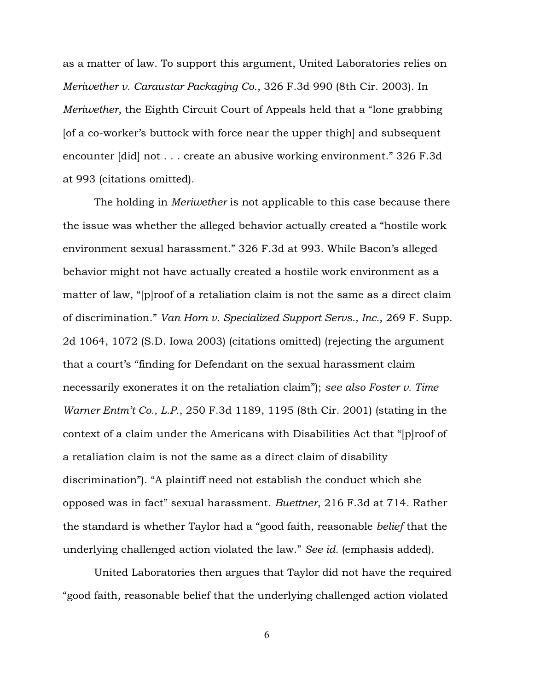as a matter of law. To support this argument, United Laboratories relies on *Meriwether v. Caraustar Packaging Co.*, 326 F.3d 990 (8th Cir. 2003). In *Meriwether*, the Eighth Circuit Court of Appeals held that a "lone grabbing [of a co-worker's buttock with force near the upper thigh] and subsequent encounter [did] not . . . create an abusive working environment." 326 F.3d at 993 (citations omitted).

The holding in *Meriwether* is not applicable to this case because there the issue was whether the alleged behavior actually created a "hostile work environment sexual harassment." 326 F.3d at 993. While Bacon's alleged behavior might not have actually created a hostile work environment as a matter of law, "[p]roof of a retaliation claim is not the same as a direct claim of discrimination." *Van Horn v. Specialized Support Servs., Inc.*, 269 F. Supp. 2d 1064, 1072 (S.D. Iowa 2003) (citations omitted) (rejecting the argument that a court's "finding for Defendant on the sexual harassment claim necessarily exonerates it on the retaliation claim"); *see also Foster v. Time Warner Entm't Co., L.P.*, 250 F.3d 1189, 1195 (8th Cir. 2001) (stating in the context of a claim under the Americans with Disabilities Act that "[p]roof of a retaliation claim is not the same as a direct claim of disability discrimination"). "A plaintiff need not establish the conduct which she opposed was in fact" sexual harassment. *Buettner*, 216 F.3d at 714. Rather the standard is whether Taylor had a "good faith, reasonable *belief* that the underlying challenged action violated the law." *See id.* (emphasis added).

United Laboratories then argues that Taylor did not have the required "good faith, reasonable belief that the underlying challenged action violated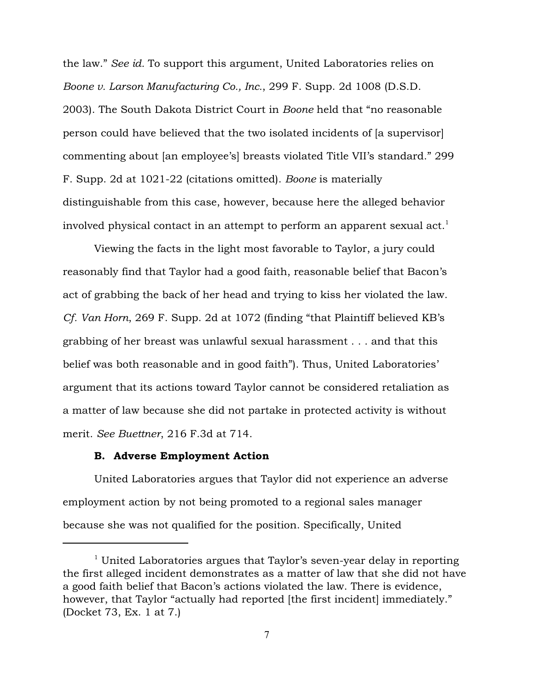the law." *See id.* To support this argument, United Laboratories relies on *Boone v. Larson Manufacturing Co., Inc.*, 299 F. Supp. 2d 1008 (D.S.D. 2003). The South Dakota District Court in *Boone* held that "no reasonable person could have believed that the two isolated incidents of [a supervisor] commenting about [an employee's] breasts violated Title VII's standard." 299 F. Supp. 2d at 1021-22 (citations omitted). *Boone* is materially distinguishable from this case, however, because here the alleged behavior involved physical contact in an attempt to perform an apparent sexual act.<sup>1</sup>

Viewing the facts in the light most favorable to Taylor, a jury could reasonably find that Taylor had a good faith, reasonable belief that Bacon's act of grabbing the back of her head and trying to kiss her violated the law. *Cf. Van Horn*, 269 F. Supp. 2d at 1072 (finding "that Plaintiff believed KB's grabbing of her breast was unlawful sexual harassment . . . and that this belief was both reasonable and in good faith"). Thus, United Laboratories' argument that its actions toward Taylor cannot be considered retaliation as a matter of law because she did not partake in protected activity is without merit. *See Buettner*, 216 F.3d at 714.

### B. Adverse Employment Action

United Laboratories argues that Taylor did not experience an adverse employment action by not being promoted to a regional sales manager because she was not qualified for the position. Specifically, United

 $1$  United Laboratories argues that Taylor's seven-year delay in reporting the first alleged incident demonstrates as a matter of law that she did not have a good faith belief that Bacon's actions violated the law. There is evidence, however, that Taylor "actually had reported [the first incident] immediately." (Docket 73, Ex. 1 at 7.)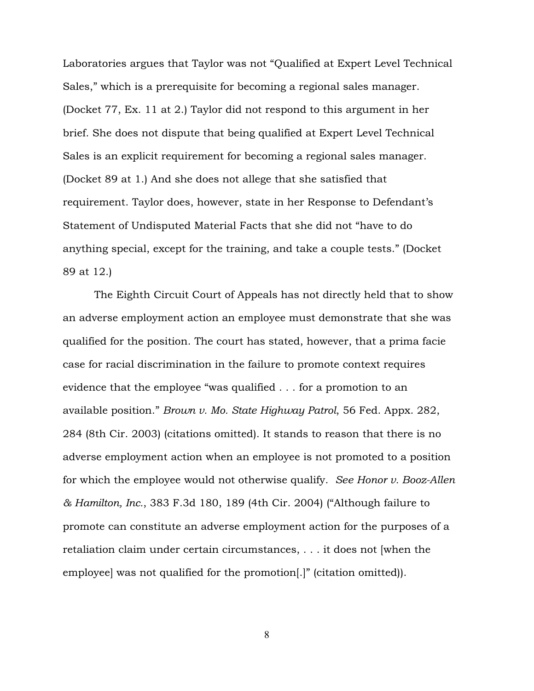Laboratories argues that Taylor was not "Qualified at Expert Level Technical Sales," which is a prerequisite for becoming a regional sales manager. (Docket 77, Ex. 11 at 2.) Taylor did not respond to this argument in her brief. She does not dispute that being qualified at Expert Level Technical Sales is an explicit requirement for becoming a regional sales manager. (Docket 89 at 1.) And she does not allege that she satisfied that requirement. Taylor does, however, state in her Response to Defendant's Statement of Undisputed Material Facts that she did not "have to do anything special, except for the training, and take a couple tests." (Docket 89 at 12.)

The Eighth Circuit Court of Appeals has not directly held that to show an adverse employment action an employee must demonstrate that she was qualified for the position. The court has stated, however, that a prima facie case for racial discrimination in the failure to promote context requires evidence that the employee "was qualified . . . for a promotion to an available position." *Brown v. Mo. State Highway Patrol*, 56 Fed. Appx. 282, 284 (8th Cir. 2003) (citations omitted). It stands to reason that there is no adverse employment action when an employee is not promoted to a position for which the employee would not otherwise qualify. *See Honor v. Booz-Allen & Hamilton, Inc.*, 383 F.3d 180, 189 (4th Cir. 2004) ("Although failure to promote can constitute an adverse employment action for the purposes of a retaliation claim under certain circumstances, . . . it does not [when the employee] was not qualified for the promotion[.]" (citation omitted)).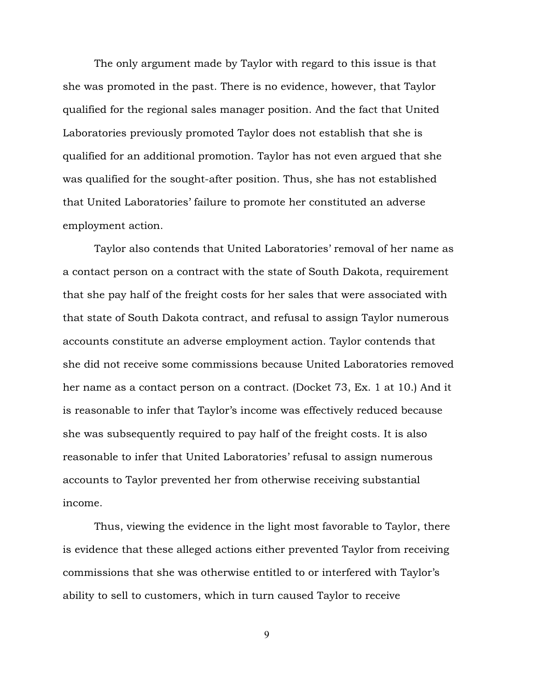The only argument made by Taylor with regard to this issue is that she was promoted in the past. There is no evidence, however, that Taylor qualified for the regional sales manager position. And the fact that United Laboratories previously promoted Taylor does not establish that she is qualified for an additional promotion. Taylor has not even argued that she was qualified for the sought-after position. Thus, she has not established that United Laboratories' failure to promote her constituted an adverse employment action.

Taylor also contends that United Laboratories' removal of her name as a contact person on a contract with the state of South Dakota, requirement that she pay half of the freight costs for her sales that were associated with that state of South Dakota contract, and refusal to assign Taylor numerous accounts constitute an adverse employment action. Taylor contends that she did not receive some commissions because United Laboratories removed her name as a contact person on a contract. (Docket 73, Ex. 1 at 10.) And it is reasonable to infer that Taylor's income was effectively reduced because she was subsequently required to pay half of the freight costs. It is also reasonable to infer that United Laboratories' refusal to assign numerous accounts to Taylor prevented her from otherwise receiving substantial income.

Thus, viewing the evidence in the light most favorable to Taylor, there is evidence that these alleged actions either prevented Taylor from receiving commissions that she was otherwise entitled to or interfered with Taylor's ability to sell to customers, which in turn caused Taylor to receive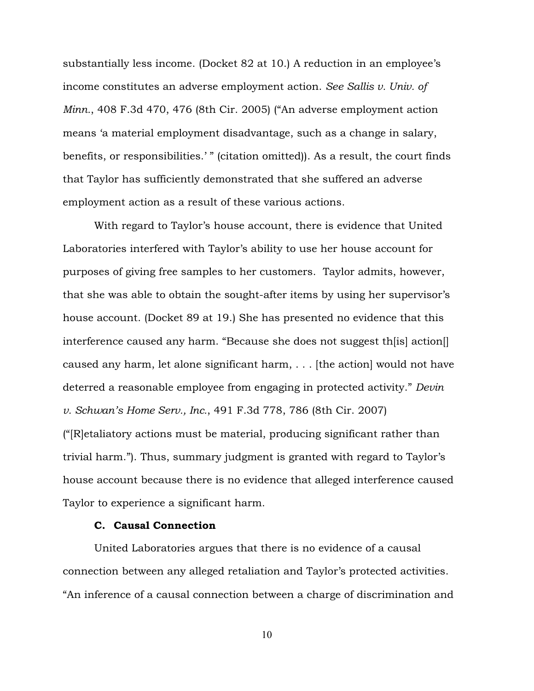substantially less income. (Docket 82 at 10.) A reduction in an employee's income constitutes an adverse employment action. *See Sallis v. Univ. of Minn.*, 408 F.3d 470, 476 (8th Cir. 2005) ("An adverse employment action means 'a material employment disadvantage, such as a change in salary, benefits, or responsibilities.'" (citation omitted)). As a result, the court finds that Taylor has sufficiently demonstrated that she suffered an adverse employment action as a result of these various actions.

With regard to Taylor's house account, there is evidence that United Laboratories interfered with Taylor's ability to use her house account for purposes of giving free samples to her customers. Taylor admits, however, that she was able to obtain the sought-after items by using her supervisor's house account. (Docket 89 at 19.) She has presented no evidence that this interference caused any harm. "Because she does not suggest th[is] action[] caused any harm, let alone significant harm, . . . [the action] would not have deterred a reasonable employee from engaging in protected activity." *Devin v. Schwan's Home Serv., Inc.*, 491 F.3d 778, 786 (8th Cir. 2007) ("[R]etaliatory actions must be material, producing significant rather than trivial harm."). Thus, summary judgment is granted with regard to Taylor's house account because there is no evidence that alleged interference caused Taylor to experience a significant harm.

# C. Causal Connection

United Laboratories argues that there is no evidence of a causal connection between any alleged retaliation and Taylor's protected activities. "An inference of a causal connection between a charge of discrimination and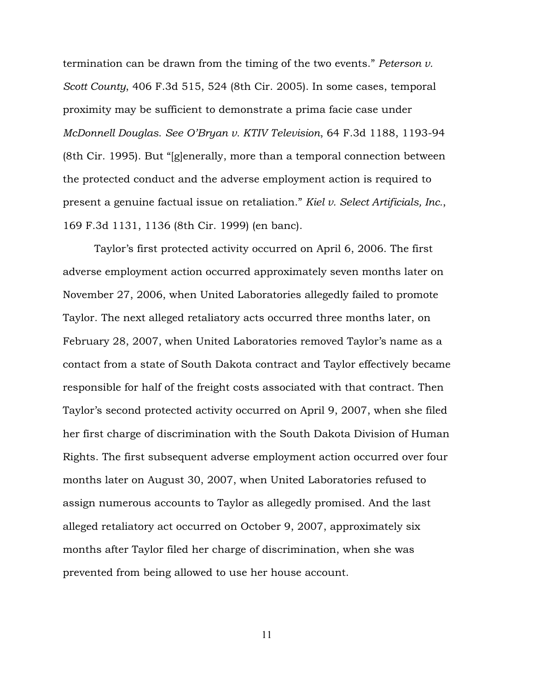termination can be drawn from the timing of the two events." *Peterson v. Scott County*, 406 F.3d 515, 524 (8th Cir. 2005). In some cases, temporal proximity may be sufficient to demonstrate a prima facie case under *McDonnell Douglas*. *See O'Bryan v. KTIV Television*, 64 F.3d 1188, 1193-94 (8th Cir. 1995). But "[g]enerally, more than a temporal connection between the protected conduct and the adverse employment action is required to present a genuine factual issue on retaliation." *Kiel v. Select Artificials, Inc.*, 169 F.3d 1131, 1136 (8th Cir. 1999) (en banc).

Taylor's first protected activity occurred on April 6, 2006. The first adverse employment action occurred approximately seven months later on November 27, 2006, when United Laboratories allegedly failed to promote Taylor. The next alleged retaliatory acts occurred three months later, on February 28, 2007, when United Laboratories removed Taylor's name as a contact from a state of South Dakota contract and Taylor effectively became responsible for half of the freight costs associated with that contract. Then Taylor's second protected activity occurred on April 9, 2007, when she filed her first charge of discrimination with the South Dakota Division of Human Rights. The first subsequent adverse employment action occurred over four months later on August 30, 2007, when United Laboratories refused to assign numerous accounts to Taylor as allegedly promised. And the last alleged retaliatory act occurred on October 9, 2007, approximately six months after Taylor filed her charge of discrimination, when she was prevented from being allowed to use her house account.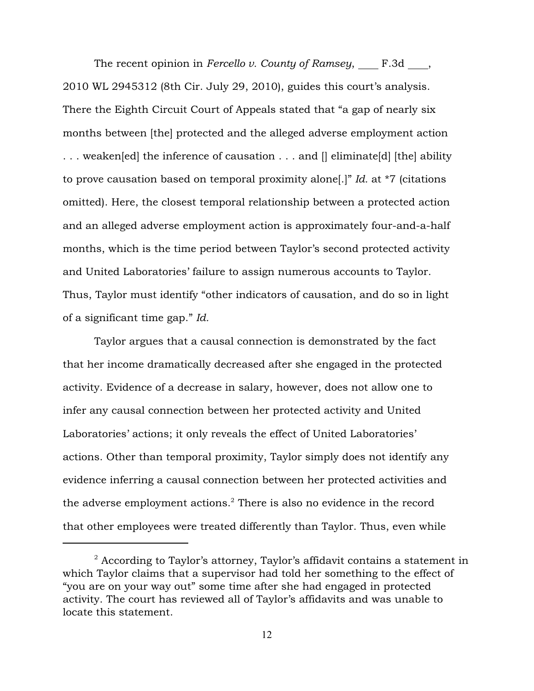The recent opinion in *Fercello v. County of Ramsey*, F.3d, 2010 WL 2945312 (8th Cir. July 29, 2010), guides this court's analysis. There the Eighth Circuit Court of Appeals stated that "a gap of nearly six months between [the] protected and the alleged adverse employment action . . . weaken[ed] the inference of causation . . . and [] eliminate[d] [the] ability to prove causation based on temporal proximity alone[.]" *Id.* at \*7 (citations omitted). Here, the closest temporal relationship between a protected action and an alleged adverse employment action is approximately four-and-a-half months, which is the time period between Taylor's second protected activity and United Laboratories' failure to assign numerous accounts to Taylor. Thus, Taylor must identify "other indicators of causation, and do so in light of a significant time gap." *Id.*

Taylor argues that a causal connection is demonstrated by the fact that her income dramatically decreased after she engaged in the protected activity. Evidence of a decrease in salary, however, does not allow one to infer any causal connection between her protected activity and United Laboratories' actions; it only reveals the effect of United Laboratories' actions. Other than temporal proximity, Taylor simply does not identify any evidence inferring a causal connection between her protected activities and the adverse employment actions.<sup>2</sup> There is also no evidence in the record that other employees were treated differently than Taylor. Thus, even while

 $2$  According to Taylor's attorney, Taylor's affidavit contains a statement in which Taylor claims that a supervisor had told her something to the effect of "you are on your way out" some time after she had engaged in protected activity. The court has reviewed all of Taylor's affidavits and was unable to locate this statement.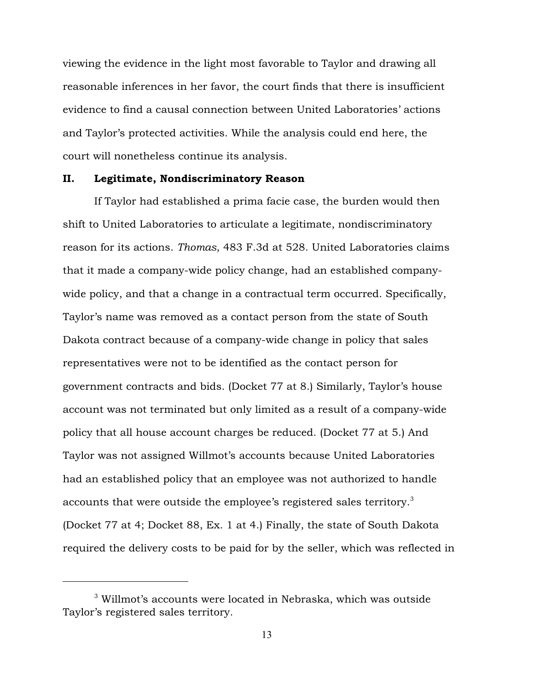viewing the evidence in the light most favorable to Taylor and drawing all reasonable inferences in her favor, the court finds that there is insufficient evidence to find a causal connection between United Laboratories' actions and Taylor's protected activities. While the analysis could end here, the court will nonetheless continue its analysis.

#### II. Legitimate, Nondiscriminatory Reason

If Taylor had established a prima facie case, the burden would then shift to United Laboratories to articulate a legitimate, nondiscriminatory reason for its actions. *Thomas*, 483 F.3d at 528. United Laboratories claims that it made a company-wide policy change, had an established companywide policy, and that a change in a contractual term occurred. Specifically, Taylor's name was removed as a contact person from the state of South Dakota contract because of a company-wide change in policy that sales representatives were not to be identified as the contact person for government contracts and bids. (Docket 77 at 8.) Similarly, Taylor's house account was not terminated but only limited as a result of a company-wide policy that all house account charges be reduced. (Docket 77 at 5.) And Taylor was not assigned Willmot's accounts because United Laboratories had an established policy that an employee was not authorized to handle accounts that were outside the employee's registered sales territory.<sup>3</sup> (Docket 77 at 4; Docket 88, Ex. 1 at 4.) Finally, the state of South Dakota required the delivery costs to be paid for by the seller, which was reflected in

 $^3$  Willmot's accounts were located in Nebraska, which was outside Taylor's registered sales territory.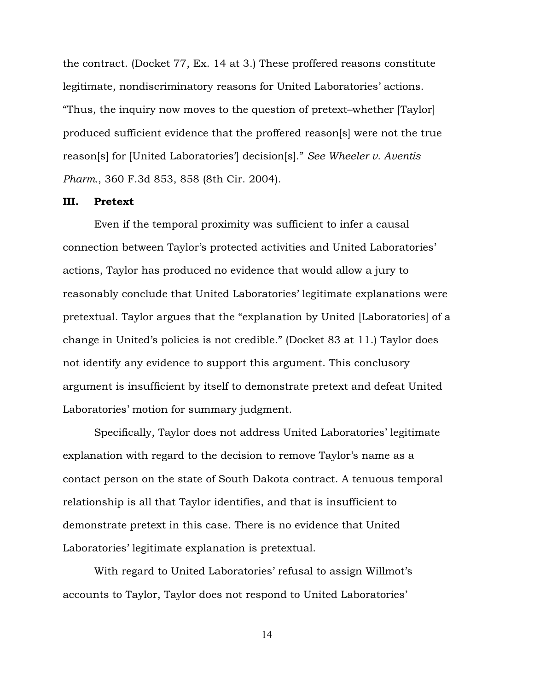the contract. (Docket 77, Ex. 14 at 3.) These proffered reasons constitute legitimate, nondiscriminatory reasons for United Laboratories' actions. "Thus, the inquiry now moves to the question of pretext–whether [Taylor] produced sufficient evidence that the proffered reason[s] were not the true reason[s] for [United Laboratories'] decision[s]." *See Wheeler v. Aventis Pharm.*, 360 F.3d 853, 858 (8th Cir. 2004).

#### III. Pretext

Even if the temporal proximity was sufficient to infer a causal connection between Taylor's protected activities and United Laboratories' actions, Taylor has produced no evidence that would allow a jury to reasonably conclude that United Laboratories' legitimate explanations were pretextual. Taylor argues that the "explanation by United [Laboratories] of a change in United's policies is not credible." (Docket 83 at 11.) Taylor does not identify any evidence to support this argument. This conclusory argument is insufficient by itself to demonstrate pretext and defeat United Laboratories' motion for summary judgment.

Specifically, Taylor does not address United Laboratories' legitimate explanation with regard to the decision to remove Taylor's name as a contact person on the state of South Dakota contract. A tenuous temporal relationship is all that Taylor identifies, and that is insufficient to demonstrate pretext in this case. There is no evidence that United Laboratories' legitimate explanation is pretextual.

With regard to United Laboratories' refusal to assign Willmot's accounts to Taylor, Taylor does not respond to United Laboratories'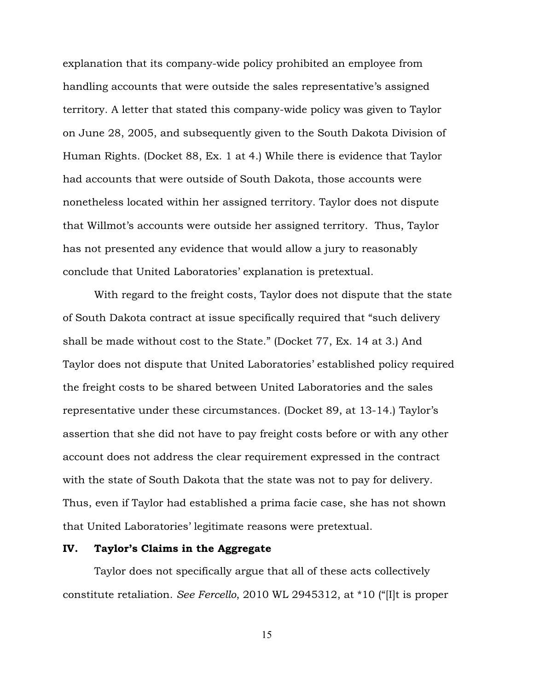explanation that its company-wide policy prohibited an employee from handling accounts that were outside the sales representative's assigned territory. A letter that stated this company-wide policy was given to Taylor on June 28, 2005, and subsequently given to the South Dakota Division of Human Rights. (Docket 88, Ex. 1 at 4.) While there is evidence that Taylor had accounts that were outside of South Dakota, those accounts were nonetheless located within her assigned territory. Taylor does not dispute that Willmot's accounts were outside her assigned territory. Thus, Taylor has not presented any evidence that would allow a jury to reasonably conclude that United Laboratories' explanation is pretextual.

With regard to the freight costs, Taylor does not dispute that the state of South Dakota contract at issue specifically required that "such delivery shall be made without cost to the State." (Docket 77, Ex. 14 at 3.) And Taylor does not dispute that United Laboratories' established policy required the freight costs to be shared between United Laboratories and the sales representative under these circumstances. (Docket 89, at 13-14.) Taylor's assertion that she did not have to pay freight costs before or with any other account does not address the clear requirement expressed in the contract with the state of South Dakota that the state was not to pay for delivery. Thus, even if Taylor had established a prima facie case, she has not shown that United Laboratories' legitimate reasons were pretextual.

#### IV. Taylor's Claims in the Aggregate

Taylor does not specifically argue that all of these acts collectively constitute retaliation. *See Fercello*, 2010 WL 2945312, at \*10 ("[I]t is proper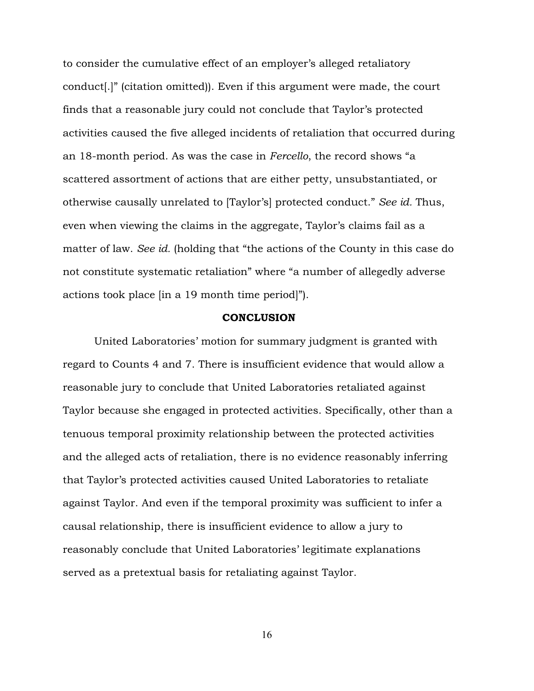to consider the cumulative effect of an employer's alleged retaliatory conduct[.]" (citation omitted)). Even if this argument were made, the court finds that a reasonable jury could not conclude that Taylor's protected activities caused the five alleged incidents of retaliation that occurred during an 18-month period. As was the case in *Fercello*, the record shows "a scattered assortment of actions that are either petty, unsubstantiated, or otherwise causally unrelated to [Taylor's] protected conduct." *See id.* Thus, even when viewing the claims in the aggregate, Taylor's claims fail as a matter of law. *See id.* (holding that "the actions of the County in this case do not constitute systematic retaliation" where "a number of allegedly adverse actions took place [in a 19 month time period]").

#### **CONCLUSION**

United Laboratories' motion for summary judgment is granted with regard to Counts 4 and 7. There is insufficient evidence that would allow a reasonable jury to conclude that United Laboratories retaliated against Taylor because she engaged in protected activities. Specifically, other than a tenuous temporal proximity relationship between the protected activities and the alleged acts of retaliation, there is no evidence reasonably inferring that Taylor's protected activities caused United Laboratories to retaliate against Taylor. And even if the temporal proximity was sufficient to infer a causal relationship, there is insufficient evidence to allow a jury to reasonably conclude that United Laboratories' legitimate explanations served as a pretextual basis for retaliating against Taylor.